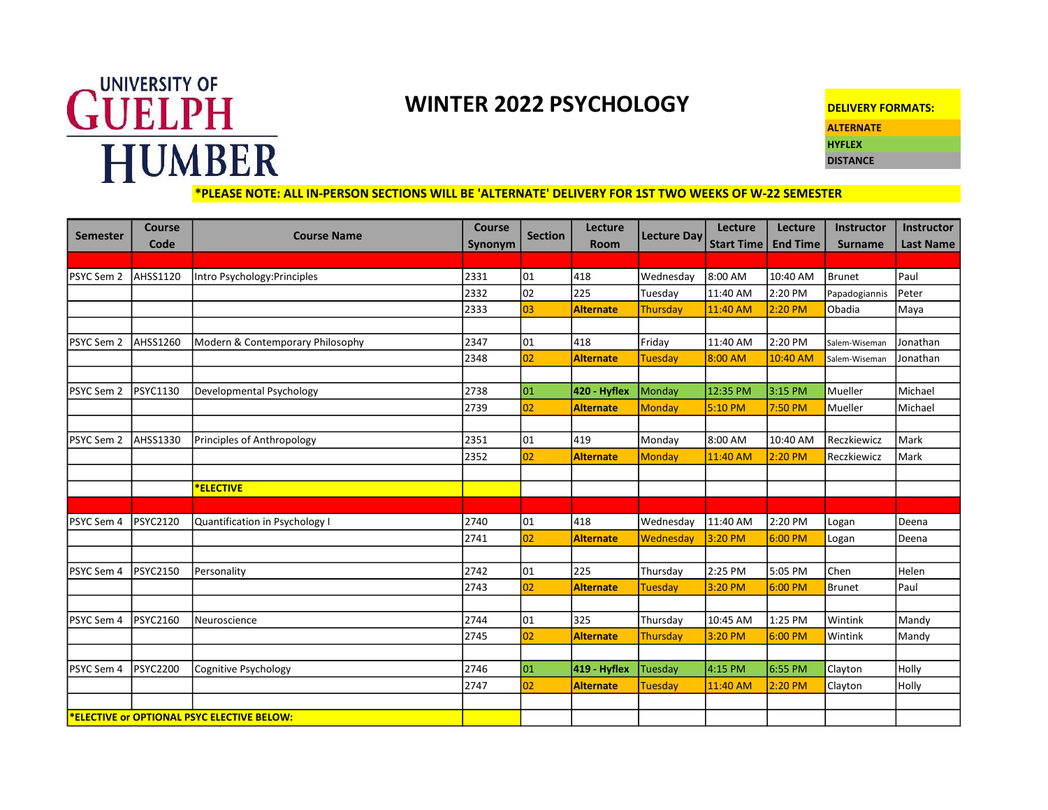## **GUELPH** HUMBER

## WINTER 2022 PSYCHOLOGY

| <b>DELIVERY FORMATS:</b> |
|--------------------------|
| ALTERNATE                |
| <b>HYFLEX</b>            |
| <b>DISTANCE</b>          |

\*PLEASE NOTE: ALL IN-PERSON SECTIONS WILL BE 'ALTERNATE' DELIVERY FOR 1ST TWO WEEKS OF W-22 SEMESTER

| Semester                                          | <b>Course</b><br>Code | <b>Course Name</b>               | <b>Course</b><br>Synonym | <b>Section</b> | Lecture<br><b>Room</b> | <b>Lecture Day</b> | Lecture<br><b>Start Time</b> | Lecture<br><b>End Time</b> | Instructor<br><b>Surname</b> | <b>Instructor</b><br><b>Last Name</b> |
|---------------------------------------------------|-----------------------|----------------------------------|--------------------------|----------------|------------------------|--------------------|------------------------------|----------------------------|------------------------------|---------------------------------------|
|                                                   |                       |                                  |                          |                |                        |                    |                              |                            |                              |                                       |
| PSYC Sem 2                                        | AHSS1120              | Intro Psychology: Principles     | 2331                     | 101            | 418                    | Wednesday          | 8:00 AM                      | 10:40 AM                   | Brunet                       | Paul                                  |
|                                                   |                       |                                  | 2332                     | 102            | 225                    | Tuesday            | 11:40 AM                     | 2:20 PM                    | Papadogiannis                | Peter                                 |
|                                                   |                       |                                  | 2333                     | 03             | <b>Alternate</b>       | Thursday           | 11:40 AM                     | 2:20 PM                    | Obadia                       | Maya                                  |
|                                                   |                       |                                  |                          |                |                        |                    |                              |                            |                              |                                       |
| PSYC Sem 2                                        | AHSS1260              | Modern & Contemporary Philosophy | 2347                     | 101            | 418                    | Friday             | 11:40 AM                     | 2:20 PM                    | Salem-Wiseman                | Jonathan                              |
|                                                   |                       |                                  | 2348                     | 02             | <b>Alternate</b>       | <b>Tuesday</b>     | 8:00 AM                      | 10:40 AM                   | Salem-Wiseman                | Jonathan                              |
|                                                   |                       |                                  |                          |                |                        |                    |                              |                            |                              |                                       |
| PSYC Sem 2                                        | <b>PSYC1130</b>       | Developmental Psychology         | 2738                     | 01             | 420 - Hyflex           | Monday             | 12:35 PM                     | 3:15 PM                    | Mueller                      | Michael                               |
|                                                   |                       |                                  | 2739                     | 02             | <b>Alternate</b>       | Monday             | 5:10 PM                      | 7:50 PM                    | Mueller                      | Michael                               |
|                                                   |                       |                                  |                          |                |                        |                    |                              |                            |                              |                                       |
| PSYC Sem 2                                        | AHSS1330              | Principles of Anthropology       | 2351                     | 01             | 419                    | Monday             | 8:00 AM                      | 10:40 AM                   | Reczkiewicz                  | Mark                                  |
|                                                   |                       |                                  | 2352                     | 02             | <b>Alternate</b>       | Monday             | 11:40 AM                     | 2:20 PM                    | Reczkiewicz                  | Mark                                  |
|                                                   |                       |                                  |                          |                |                        |                    |                              |                            |                              |                                       |
|                                                   |                       | <b>ELECTIVE</b>                  |                          |                |                        |                    |                              |                            |                              |                                       |
|                                                   |                       |                                  |                          |                |                        |                    |                              |                            |                              |                                       |
| PSYC Sem 4                                        | <b>PSYC2120</b>       | Quantification in Psychology I   | 2740                     | 01             | 418                    | Wednesday          | 11:40 AM                     | 2:20 PM                    | Logan                        | Deena                                 |
|                                                   |                       |                                  | 2741                     | 02             | <b>Alternate</b>       | Wednesday          | 3:20 PM                      | 6:00 PM                    | Logan                        | Deena                                 |
|                                                   |                       |                                  |                          |                |                        |                    |                              |                            |                              |                                       |
| PSYC Sem 4                                        | <b>PSYC2150</b>       | Personality                      | 2742                     | 01             | 225                    | Thursday           | 2:25 PM                      | 5:05 PM                    | Chen                         | Helen                                 |
|                                                   |                       |                                  | 2743                     | 02             | <b>Alternate</b>       | Tuesday            | 3:20 PM                      | 6:00 PM                    | Brunet                       | Paul                                  |
|                                                   |                       |                                  |                          |                |                        |                    |                              |                            |                              |                                       |
| PSYC Sem 4                                        | PSYC2160              | Neuroscience                     | 2744                     | 01             | 325                    | Thursday           | 10:45 AM                     | 1:25 PM                    | Wintink                      | Mandy                                 |
|                                                   |                       |                                  | 2745                     | 02             | <b>Alternate</b>       | Thursday           | 3:20 PM                      | 6:00 PM                    | Wintink                      | Mandy                                 |
|                                                   |                       |                                  |                          |                |                        |                    |                              |                            |                              |                                       |
| PSYC Sem 4                                        | <b>PSYC2200</b>       | Cognitive Psychology             | 2746                     | 01             | 419 - Hyflex           | Tuesday            | 4:15 PM                      | 6:55 PM                    | Clayton                      | Holly                                 |
|                                                   |                       |                                  | 2747                     | 02             | <b>Alternate</b>       | Tuesday            | 11:40 AM                     | 2:20 PM                    | Clayton                      | <b>Holly</b>                          |
|                                                   |                       |                                  |                          |                |                        |                    |                              |                            |                              |                                       |
| <b>*ELECTIVE or OPTIONAL PSYC ELECTIVE BELOW:</b> |                       |                                  |                          |                |                        |                    |                              |                            |                              |                                       |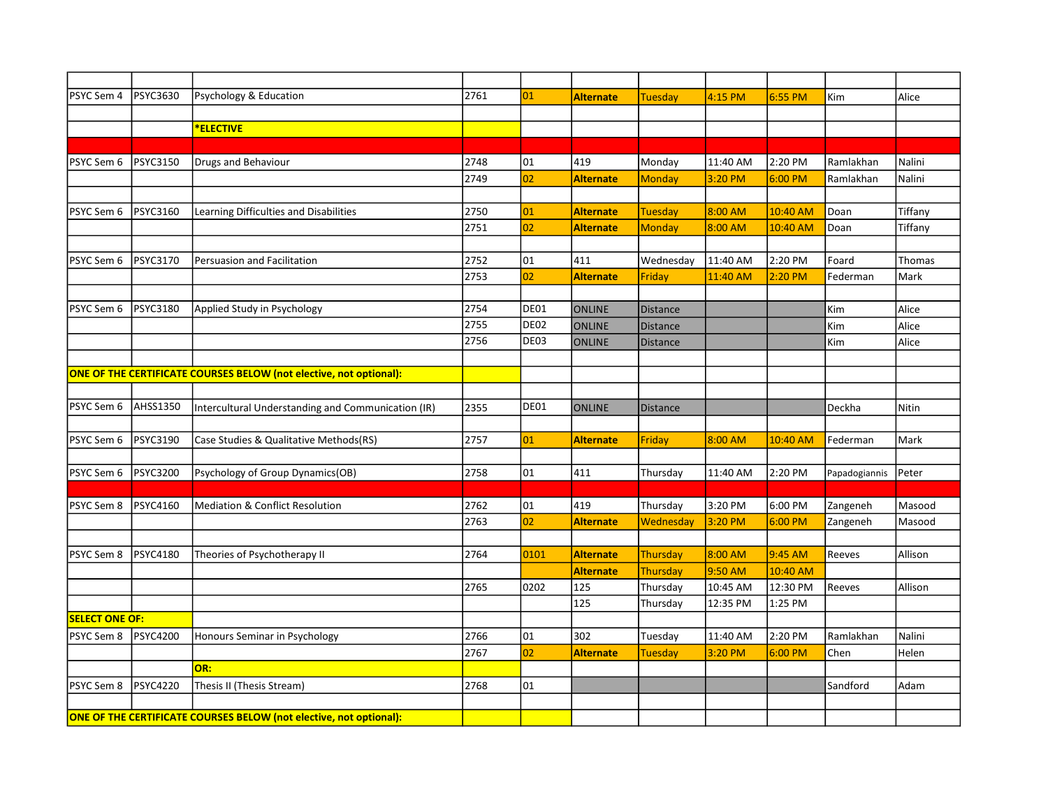| PSYC Sem 4            | <b>PSYC3630</b>                                                    | Psychology & Education                                             | 2761 | 01               | <b>Alternate</b> | <b>Tuesday</b>  | 4:15 PM  | 6:55 PM   | Kim           | Alice   |
|-----------------------|--------------------------------------------------------------------|--------------------------------------------------------------------|------|------------------|------------------|-----------------|----------|-----------|---------------|---------|
|                       |                                                                    |                                                                    |      |                  |                  |                 |          |           |               |         |
|                       |                                                                    | <b>*ELECTIVE</b>                                                   |      |                  |                  |                 |          |           |               |         |
|                       |                                                                    |                                                                    |      |                  |                  |                 |          |           |               |         |
| PSYC Sem 6            | PSYC3150                                                           | Drugs and Behaviour                                                | 2748 | 01               | 419              | Monday          | 11:40 AM | 2:20 PM   | Ramlakhan     | Nalini  |
|                       |                                                                    |                                                                    | 2749 | 02               | <b>Alternate</b> | <b>Monday</b>   | 3:20 PM  | $6:00$ PM | Ramlakhan     | Nalini  |
|                       |                                                                    |                                                                    |      |                  |                  |                 |          |           |               |         |
| PSYC Sem 6            | PSYC3160                                                           | Learning Difficulties and Disabilities                             | 2750 | 01               | <b>Alternate</b> | <b>Tuesday</b>  | 8:00 AM  | 10:40 AM  | Doan          | Tiffany |
|                       |                                                                    |                                                                    | 2751 | 02               | <b>Alternate</b> | <b>Monday</b>   | 8:00 AM  | 10:40 AM  | Doan          | Tiffany |
|                       |                                                                    |                                                                    |      |                  |                  |                 |          |           |               |         |
| PSYC Sem 6            | <b>PSYC3170</b>                                                    | Persuasion and Facilitation                                        | 2752 | 101              | 411              | Wednesday       | 11:40 AM | 2:20 PM   | Foard         | Thomas  |
|                       |                                                                    |                                                                    | 2753 | 02               | <b>Alternate</b> | Friday          | 11:40 AM | 2:20 PM   | Federman      | Mark    |
|                       |                                                                    |                                                                    |      |                  |                  |                 |          |           |               |         |
| PSYC Sem 6            | PSYC3180                                                           | Applied Study in Psychology                                        | 2754 | DE01             | <b>ONLINE</b>    | <b>Distance</b> |          |           | Kim           | Alice   |
|                       |                                                                    |                                                                    | 2755 | DE <sub>02</sub> | <b>ONLINE</b>    | <b>Distance</b> |          |           | Kim           | Alice   |
|                       |                                                                    |                                                                    | 2756 | DE03             | <b>ONLINE</b>    | <b>Distance</b> |          |           | Kim           | Alice   |
|                       |                                                                    |                                                                    |      |                  |                  |                 |          |           |               |         |
|                       |                                                                    | ONE OF THE CERTIFICATE COURSES BELOW (not elective, not optional): |      |                  |                  |                 |          |           |               |         |
|                       |                                                                    |                                                                    |      |                  |                  |                 |          |           |               |         |
| PSYC Sem 6            | <b>AHSS1350</b>                                                    | Intercultural Understanding and Communication (IR)                 | 2355 | DE01             | <b>ONLINE</b>    | <b>Distance</b> |          |           | Deckha        | Nitin   |
|                       |                                                                    |                                                                    |      |                  |                  |                 |          |           |               |         |
| PSYC Sem 6            | PSYC3190                                                           | Case Studies & Qualitative Methods(RS)                             | 2757 | $ _{01}$         | <b>Alternate</b> | Friday          | 8:00 AM  | 10:40 AM  | Federman      | Mark    |
|                       |                                                                    |                                                                    |      |                  |                  |                 |          |           |               |         |
| PSYC Sem 6            | <b>PSYC3200</b>                                                    | Psychology of Group Dynamics(OB)                                   | 2758 | 01               | 411              | Thursday        | 11:40 AM | 2:20 PM   | Papadogiannis | Peter   |
|                       |                                                                    |                                                                    |      |                  |                  |                 |          |           |               |         |
| PSYC Sem 8            | PSYC4160                                                           | Mediation & Conflict Resolution                                    | 2762 | 01               | 419              | Thursday        | 3:20 PM  | 6:00 PM   | Zangeneh      | Masood  |
|                       |                                                                    |                                                                    | 2763 | 02               | <b>Alternate</b> | Wednesday       | 3:20 PM  | $6:00$ PM | Zangeneh      | Masood  |
|                       |                                                                    |                                                                    |      |                  |                  |                 |          |           |               |         |
| PSYC Sem 8            | <b>PSYC4180</b>                                                    | Theories of Psychotherapy II                                       | 2764 | 0101             | <b>Alternate</b> | Thursday        | 8:00 AM  | 9:45 AM   | Reeves        | Allison |
|                       |                                                                    |                                                                    |      |                  | <b>Alternate</b> | Thursday        | 9:50 AM  | 10:40 AM  |               |         |
|                       |                                                                    |                                                                    | 2765 | 0202             | 125              | Thursday        | 10:45 AM | 12:30 PM  | Reeves        | Allison |
|                       |                                                                    |                                                                    |      |                  | 125              | Thursday        | 12:35 PM | 1:25 PM   |               |         |
| <b>SELECT ONE OF:</b> |                                                                    |                                                                    |      |                  |                  |                 |          |           |               |         |
| <b>PSYC Sem 8</b>     | PSYC4200                                                           | Honours Seminar in Psychology                                      | 2766 | 01               | 302              | Tuesday         | 11:40 AM | 2:20 PM   | Ramlakhan     | Nalini  |
|                       |                                                                    |                                                                    | 2767 | 02               | <b>Alternate</b> | <b>Tuesday</b>  | 3:20 PM  | 6:00 PM   | Chen          | Helen   |
|                       |                                                                    | OR:                                                                |      |                  |                  |                 |          |           |               |         |
| PSYC Sem 8            | PSYC4220                                                           | Thesis II (Thesis Stream)                                          | 2768 | 01               |                  |                 |          |           | Sandford      | Adam    |
|                       |                                                                    |                                                                    |      |                  |                  |                 |          |           |               |         |
|                       | ONE OF THE CERTIFICATE COURSES BELOW (not elective, not optional): |                                                                    |      |                  |                  |                 |          |           |               |         |